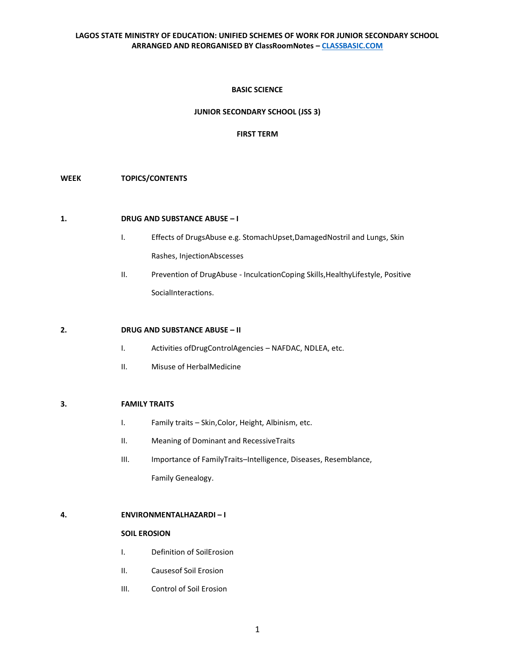## **BASIC SCIENCE**

## **JUNIOR SECONDARY SCHOOL (JSS 3)**

# **FIRST TERM**

## **WEEK TOPICS/CONTENTS**

## **1. DRUG AND SUBSTANCE ABUSE – I**

- I. Effects of DrugsAbuse e.g. StomachUpset,DamagedNostril and Lungs, Skin Rashes, InjectionAbscesses
- II. Prevention of DrugAbuse InculcationCoping Skills,HealthyLifestyle, Positive SocialInteractions.

## **2. DRUG AND SUBSTANCE ABUSE – II**

- I. Activities ofDrugControlAgencies NAFDAC, NDLEA, etc.
- II. Misuse of HerbalMedicine

#### **3. FAMILY TRAITS**

- I. Family traits Skin,Color, Height, Albinism, etc.
- II. Meaning of Dominant and RecessiveTraits
- III. Importance of FamilyTraits–Intelligence, Diseases, Resemblance, Family Genealogy.

## **4. ENVIRONMENTALHAZARDI – I**

### **SOIL EROSION**

- I. Definition of SoilErosion
- II. Causesof Soil Erosion
- III. Control of Soil Erosion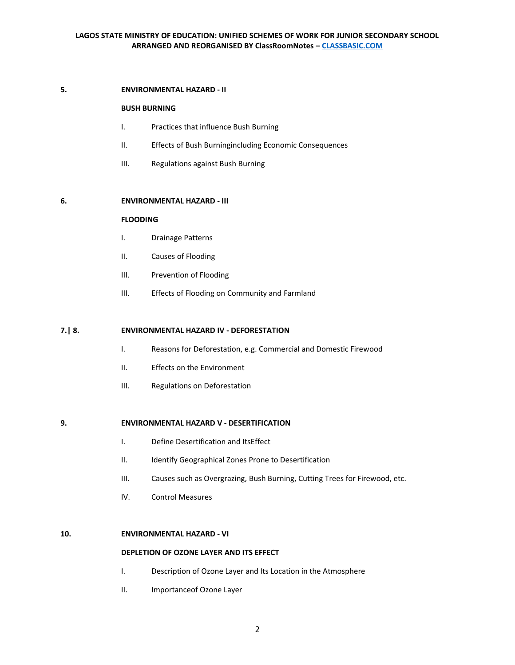#### **5. ENVIRONMENTAL HAZARD - II**

## **BUSH BURNING**

- I. Practices that influence Bush Burning
- II. Effects of Bush Burningincluding Economic Consequences
- III. Regulations against Bush Burning

#### **6. ENVIRONMENTAL HAZARD - III**

### **FLOODING**

- I. Drainage Patterns
- II. Causes of Flooding
- III. Prevention of Flooding
- III. Effects of Flooding on Community and Farmland

### **7.| 8. ENVIRONMENTAL HAZARD IV - DEFORESTATION**

- I. Reasons for Deforestation, e.g. Commercial and Domestic Firewood
- II. Effects on the Environment
- III. Regulations on Deforestation

### **9. ENVIRONMENTAL HAZARD V - DESERTIFICATION**

- I. Define Desertification and ItsEffect
- II. Identify Geographical Zones Prone to Desertification
- III. Causes such as Overgrazing, Bush Burning, Cutting Trees for Firewood, etc.
- IV. Control Measures

### **10. ENVIRONMENTAL HAZARD - VI**

#### **DEPLETION OF OZONE LAYER AND ITS EFFECT**

- I. Description of Ozone Layer and Its Location in the Atmosphere
- II. Importanceof Ozone Layer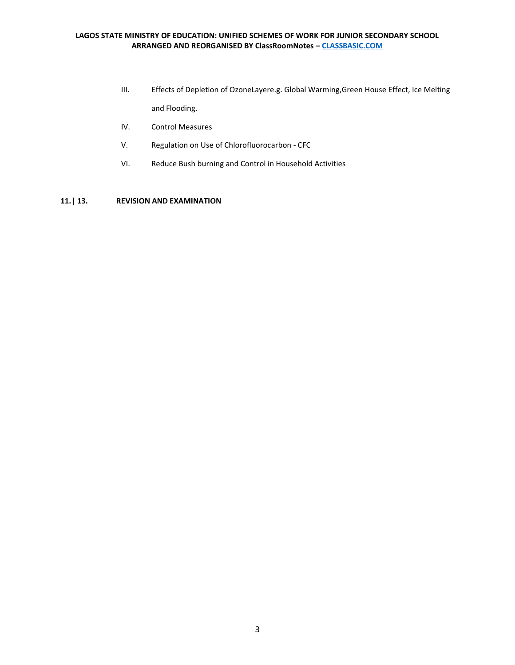- III. Effects of Depletion of OzoneLayere.g. Global Warming,Green House Effect, Ice Melting and Flooding.
- IV. Control Measures
- V. Regulation on Use of Chlorofluorocarbon CFC
- VI. Reduce Bush burning and Control in Household Activities

# **11.| 13. REVISION AND EXAMINATION**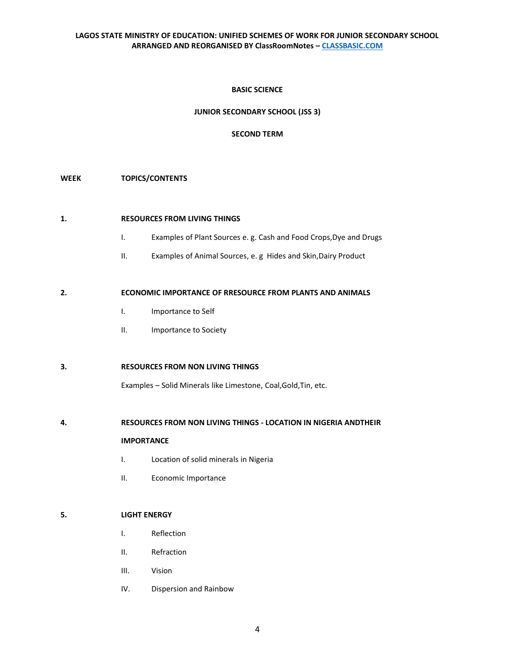## **BASIC SCIENCE**

## **JUNIOR SECONDARY SCHOOL (JSS 3)**

## **SECOND TERM**

# **WEEK TOPICS/CONTENTS**

# **1. RESOURCES FROM LIVING THINGS**

- I. Examples of Plant Sources e. g. Cash and Food Crops,Dye and Drugs
- II. Examples of Animal Sources, e. g Hides and Skin,Dairy Product

## **2. ECONOMIC IMPORTANCE OF RRESOURCE FROM PLANTS AND ANIMALS**

- I. Importance to Self
- II. Importance to Society

# **3. RESOURCES FROM NON LIVING THINGS**

Examples – Solid Minerals like Limestone, Coal,Gold,Tin, etc.

### **4. RESOURCES FROM NON LIVING THINGS - LOCATION IN NIGERIA ANDTHEIR**

### **IMPORTANCE**

- I. Location of solid minerals in Nigeria
- II. Economic Importance

### **5. LIGHT ENERGY**

- I. Reflection
- II. Refraction
- III. Vision
- IV. Dispersion and Rainbow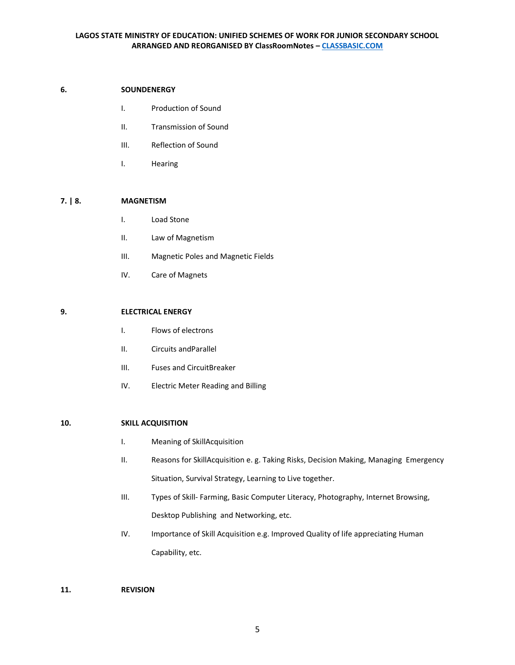### **6. SOUNDENERGY**

- I. Production of Sound
- II. Transmission of Sound
- III. Reflection of Sound
- I. Hearing

### **7. | 8. MAGNETISM**

- I. Load Stone
- II. Law of Magnetism
- III. Magnetic Poles and Magnetic Fields
- IV. Care of Magnets

### **9. ELECTRICAL ENERGY**

- I. Flows of electrons
- II. Circuits andParallel
- III. Fuses and CircuitBreaker
- IV. Electric Meter Reading and Billing

#### **10. SKILL ACQUISITION**

- I. Meaning of SkillAcquisition
- II. Reasons for SkillAcquisition e. g. Taking Risks, Decision Making, Managing Emergency Situation, Survival Strategy, Learning to Live together.
- III. Types of Skill- Farming, Basic Computer Literacy, Photography, Internet Browsing, Desktop Publishing and Networking, etc.
- IV. Importance of Skill Acquisition e.g. Improved Quality of life appreciating Human Capability, etc.
- **11. REVISION**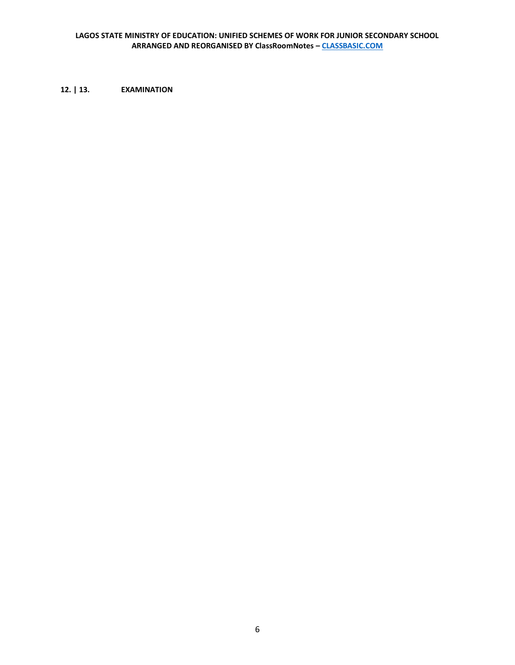**12. | 13. EXAMINATION**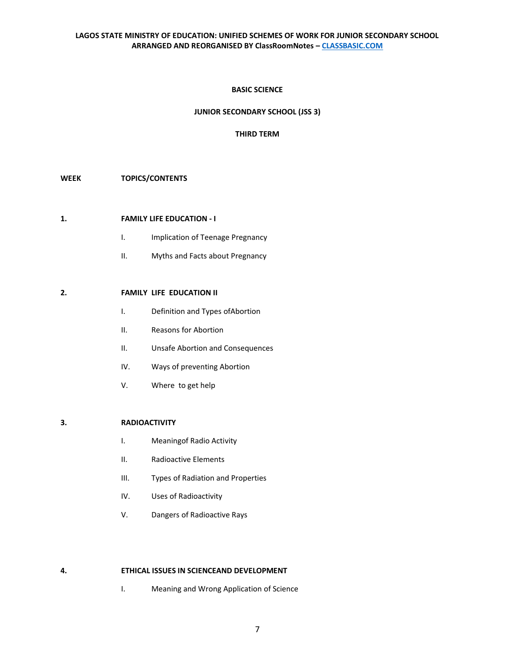# **BASIC SCIENCE**

## **JUNIOR SECONDARY SCHOOL (JSS 3)**

## **THIRD TERM**

# **WEEK TOPICS/CONTENTS**

# **1. FAMILY LIFE EDUCATION - I**

- I. Implication of Teenage Pregnancy
- II. Myths and Facts about Pregnancy

# **2. FAMILY LIFE EDUCATION II**

- I. Definition and Types ofAbortion
- II. Reasons for Abortion
- II. Unsafe Abortion and Consequences
- IV. Ways of preventing Abortion
- V. Where to get help

## **3. RADIOACTIVITY**

- I. Meaningof Radio Activity
- II. Radioactive Elements
- III. Types of Radiation and Properties
- IV. Uses of Radioactivity
- V. Dangers of Radioactive Rays

#### **4. ETHICAL ISSUES IN SCIENCEAND DEVELOPMENT**

I. Meaning and Wrong Application of Science